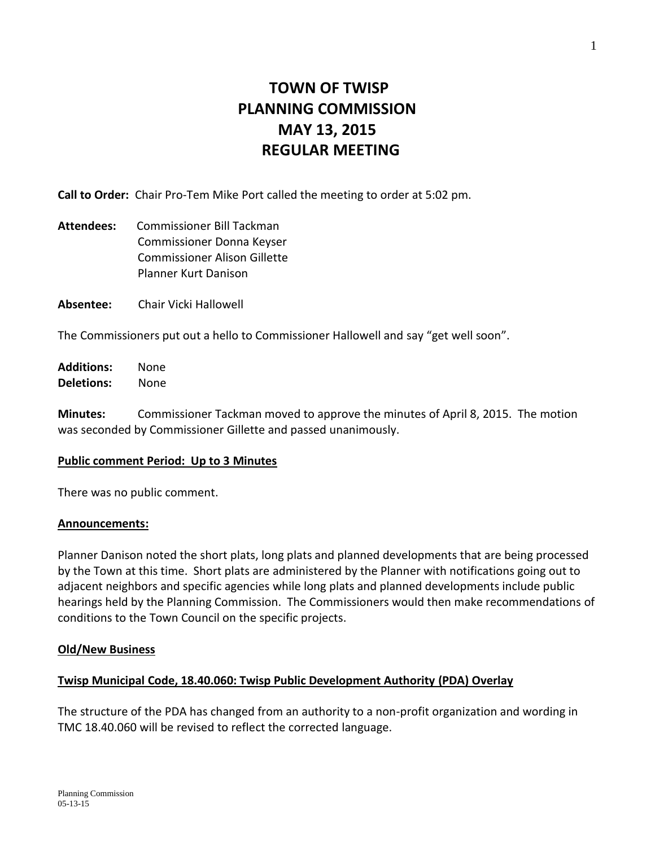# **TOWN OF TWISP PLANNING COMMISSION MAY 13, 2015 REGULAR MEETING**

**Call to Order:** Chair Pro-Tem Mike Port called the meeting to order at 5:02 pm.

- **Attendees:** Commissioner Bill Tackman Commissioner Donna Keyser Commissioner Alison Gillette Planner Kurt Danison
- **Absentee:** Chair Vicki Hallowell

The Commissioners put out a hello to Commissioner Hallowell and say "get well soon".

**Additions:** None **Deletions:** None

**Minutes:** Commissioner Tackman moved to approve the minutes of April 8, 2015. The motion was seconded by Commissioner Gillette and passed unanimously.

## **Public comment Period: Up to 3 Minutes**

There was no public comment.

## **Announcements:**

Planner Danison noted the short plats, long plats and planned developments that are being processed by the Town at this time. Short plats are administered by the Planner with notifications going out to adjacent neighbors and specific agencies while long plats and planned developments include public hearings held by the Planning Commission. The Commissioners would then make recommendations of conditions to the Town Council on the specific projects.

## **Old/New Business**

## **Twisp Municipal Code, 18.40.060: Twisp Public Development Authority (PDA) Overlay**

The structure of the PDA has changed from an authority to a non-profit organization and wording in TMC 18.40.060 will be revised to reflect the corrected language.